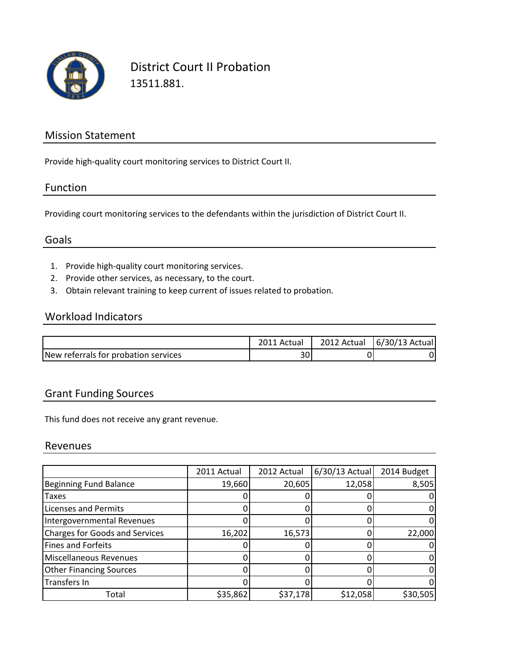

District Court II Probation 13511.881.

## Mission Statement

Provide high-quality court monitoring services to District Court II.

## Function

Providing court monitoring services to the defendants within the jurisdiction of District Court II.

## Goals

- 1. Provide high-quality court monitoring services.
- 2. Provide other services, as necessary, to the court.
- 3. Obtain relevant training to keep current of issues related to probation.

## Workload Indicators

|                                      | 2011 Actual | 2012 Actual   6/30/13 Actual |
|--------------------------------------|-------------|------------------------------|
| New referrals for probation services | 30          |                              |

## Grant Funding Sources

This fund does not receive any grant revenue.

#### Revenues

|                                       | 2011 Actual | 2012 Actual | $6/30/13$ Actual | 2014 Budget |
|---------------------------------------|-------------|-------------|------------------|-------------|
| <b>Beginning Fund Balance</b>         | 19,660      | 20,605      | 12,058           | 8,505       |
| <b>Taxes</b>                          |             |             |                  |             |
| Licenses and Permits                  |             |             |                  |             |
| Intergovernmental Revenues            |             |             |                  |             |
| <b>Charges for Goods and Services</b> | 16,202      | 16,573      |                  | 22,000      |
| <b>Fines and Forfeits</b>             |             |             |                  |             |
| <b>Miscellaneous Revenues</b>         |             |             |                  |             |
| <b>Other Financing Sources</b>        |             |             |                  |             |
| Transfers In                          |             |             |                  |             |
| Total                                 | \$35,862    | \$37,178    | \$12,058         | \$30,505    |